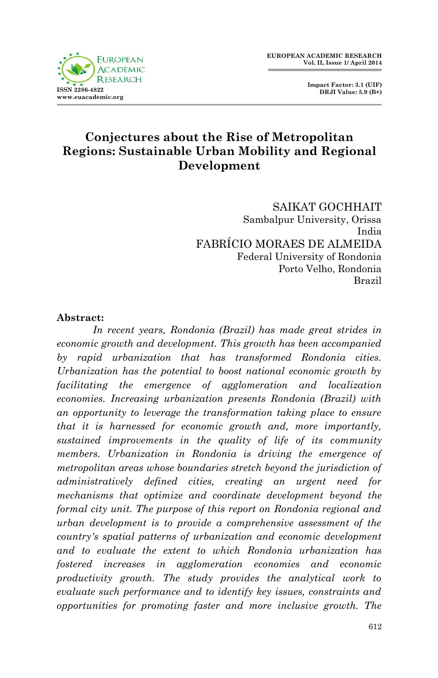



# **Conjectures about the Rise of Metropolitan Regions: Sustainable Urban Mobility and Regional Development**

SAIKAT GOCHHAIT Sambalpur University, Orissa India FABRÍCIO MORAES DE ALMEIDA Federal University of Rondonia Porto Velho, Rondonia Brazil

### **Abstract:**

*In recent years, Rondonia (Brazil) has made great strides in economic growth and development. This growth has been accompanied by rapid urbanization that has transformed Rondonia cities. Urbanization has the potential to boost national economic growth by facilitating the emergence of agglomeration and localization economies. Increasing urbanization presents Rondonia (Brazil) with an opportunity to leverage the transformation taking place to ensure that it is harnessed for economic growth and, more importantly, sustained improvements in the quality of life of its community members. Urbanization in Rondonia is driving the emergence of metropolitan areas whose boundaries stretch beyond the jurisdiction of administratively defined cities, creating an urgent need for mechanisms that optimize and coordinate development beyond the formal city unit. The purpose of this report on Rondonia regional and urban development is to provide a comprehensive assessment of the country's spatial patterns of urbanization and economic development and to evaluate the extent to which Rondonia urbanization has fostered increases in agglomeration economies and economic productivity growth. The study provides the analytical work to evaluate such performance and to identify key issues, constraints and opportunities for promoting faster and more inclusive growth. The*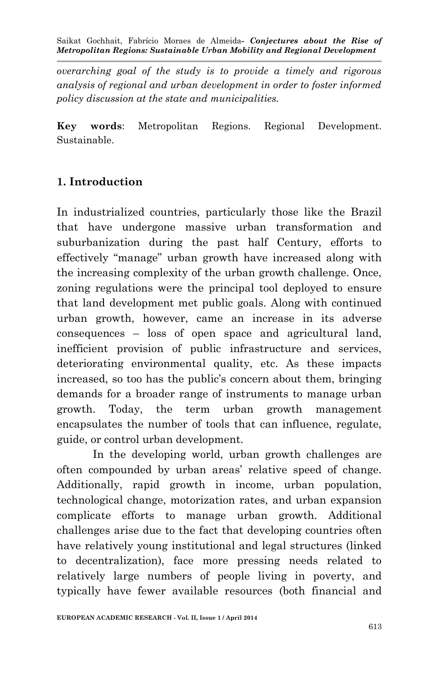*overarching goal of the study is to provide a timely and rigorous analysis of regional and urban development in order to foster informed policy discussion at the state and municipalities.*

**Key words**: Metropolitan Regions. Regional Development. Sustainable.

# **1. Introduction**

In industrialized countries, particularly those like the Brazil that have undergone massive urban transformation and suburbanization during the past half Century, efforts to effectively "manage" urban growth have increased along with the increasing complexity of the urban growth challenge. Once, zoning regulations were the principal tool deployed to ensure that land development met public goals. Along with continued urban growth, however, came an increase in its adverse consequences – loss of open space and agricultural land, inefficient provision of public infrastructure and services, deteriorating environmental quality, etc. As these impacts increased, so too has the public's concern about them, bringing demands for a broader range of instruments to manage urban growth. Today, the term urban growth management encapsulates the number of tools that can influence, regulate, guide, or control urban development.

In the developing world, urban growth challenges are often compounded by urban areas' relative speed of change. Additionally, rapid growth in income, urban population, technological change, motorization rates, and urban expansion complicate efforts to manage urban growth. Additional challenges arise due to the fact that developing countries often have relatively young institutional and legal structures (linked to decentralization), face more pressing needs related to relatively large numbers of people living in poverty, and typically have fewer available resources (both financial and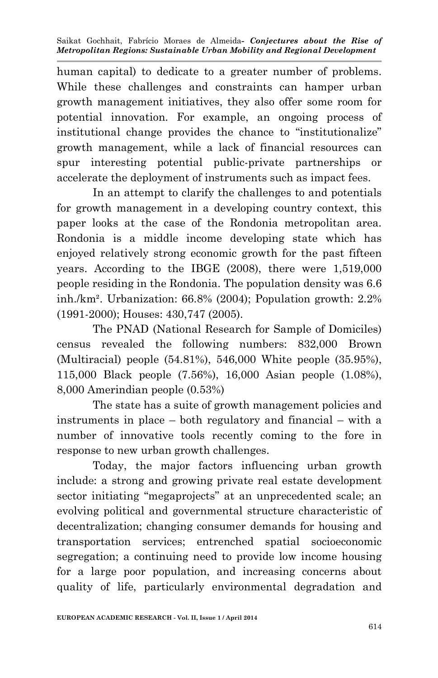human capital) to dedicate to a greater number of problems. While these challenges and constraints can hamper urban growth management initiatives, they also offer some room for potential innovation. For example, an ongoing process of institutional change provides the chance to "institutionalize" growth management, while a lack of financial resources can spur interesting potential public-private partnerships or accelerate the deployment of instruments such as impact fees.

In an attempt to clarify the challenges to and potentials for growth management in a developing country context, this paper looks at the case of the Rondonia metropolitan area. Rondonia is a middle income developing state which has enjoyed relatively strong economic growth for the past fifteen years. According to the IBGE (2008), there were 1,519,000 people residing in the Rondonia. The population density was 6.6 inh./km². Urbanization: 66.8% (2004); Population growth: 2.2% (1991-2000); Houses: 430,747 (2005).

The PNAD (National Research for Sample of Domiciles) census revealed the following numbers: 832,000 Brown (Multiracial) people (54.81%), 546,000 White people (35.95%), 115,000 Black people (7.56%), 16,000 Asian people (1.08%), 8,000 Amerindian people (0.53%)

The state has a suite of growth management policies and instruments in place – both regulatory and financial – with a number of innovative tools recently coming to the fore in response to new urban growth challenges.

Today, the major factors influencing urban growth include: a strong and growing private real estate development sector initiating "megaprojects" at an unprecedented scale; an evolving political and governmental structure characteristic of decentralization; changing consumer demands for housing and transportation services; entrenched spatial socioeconomic segregation; a continuing need to provide low income housing for a large poor population, and increasing concerns about quality of life, particularly environmental degradation and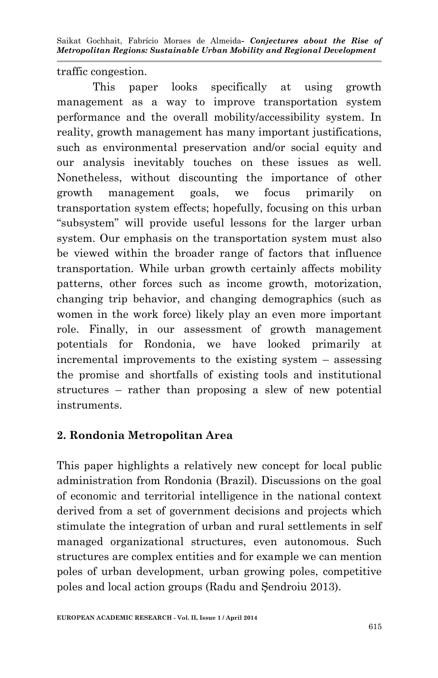traffic congestion.

This paper looks specifically at using growth management as a way to improve transportation system performance and the overall mobility/accessibility system. In reality, growth management has many important justifications, such as environmental preservation and/or social equity and our analysis inevitably touches on these issues as well. Nonetheless, without discounting the importance of other growth management goals, we focus primarily on transportation system effects; hopefully, focusing on this urban "subsystem" will provide useful lessons for the larger urban system. Our emphasis on the transportation system must also be viewed within the broader range of factors that influence transportation. While urban growth certainly affects mobility patterns, other forces such as income growth, motorization, changing trip behavior, and changing demographics (such as women in the work force) likely play an even more important role. Finally, in our assessment of growth management potentials for Rondonia, we have looked primarily at incremental improvements to the existing system – assessing the promise and shortfalls of existing tools and institutional structures – rather than proposing a slew of new potential instruments.

# **2. Rondonia Metropolitan Area**

This paper highlights a relatively new concept for local public administration from Rondonia (Brazil). Discussions on the goal of economic and territorial intelligence in the national context derived from a set of government decisions and projects which stimulate the integration of urban and rural settlements in self managed organizational structures, even autonomous. Such structures are complex entities and for example we can mention poles of urban development, urban growing poles, competitive poles and local action groups (Radu and Şendroiu 2013).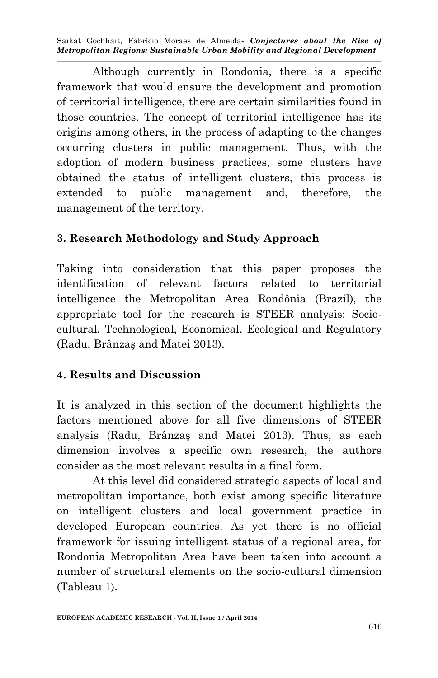Although currently in Rondonia, there is a specific framework that would ensure the development and promotion of territorial intelligence, there are certain similarities found in those countries. The concept of territorial intelligence has its origins among others, in the process of adapting to the changes occurring clusters in public management. Thus, with the adoption of modern business practices, some clusters have obtained the status of intelligent clusters, this process is extended to public management and, therefore, the management of the territory.

# **3. Research Methodology and Study Approach**

Taking into consideration that this paper proposes the identification of relevant factors related to territorial intelligence the Metropolitan Area Rondônia (Brazil), the appropriate tool for the research is STEER analysis: Sociocultural, Technological, Economical, Ecological and Regulatory (Radu, Brânzaş and Matei 2013).

# **4. Results and Discussion**

It is analyzed in this section of the document highlights the factors mentioned above for all five dimensions of STEER analysis (Radu, Brânzaş and Matei 2013). Thus, as each dimension involves a specific own research, the authors consider as the most relevant results in a final form.

At this level did considered strategic aspects of local and metropolitan importance, both exist among specific literature on intelligent clusters and local government practice in developed European countries. As yet there is no official framework for issuing intelligent status of a regional area, for Rondonia Metropolitan Area have been taken into account a number of structural elements on the socio-cultural dimension (Tableau 1).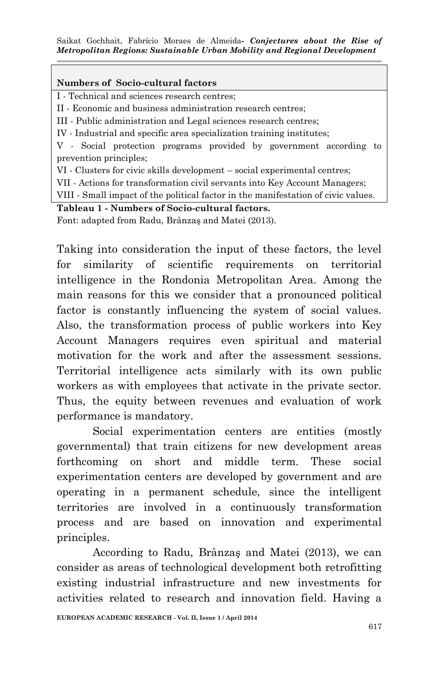#### **Numbers of Socio-cultural factors**

I - Technical and sciences research centres;

II - Economic and business administration research centres;

III - Public administration and Legal sciences research centres;

IV - Industrial and specific area specialization training institutes;

V - Social protection programs provided by government according to prevention principles;

VI - Clusters for civic skills development – social experimental centres;

VII - Actions for transformation civil servants into Key Account Managers;

VIII - Small impact of the political factor in the manifestation of civic values.

### **Tableau 1 - Numbers of Socio-cultural factors.**

Font: adapted from Radu, Brânzaş and Matei (2013).

Taking into consideration the input of these factors, the level for similarity of scientific requirements on territorial intelligence in the Rondonia Metropolitan Area. Among the main reasons for this we consider that a pronounced political factor is constantly influencing the system of social values. Also, the transformation process of public workers into Key Account Managers requires even spiritual and material motivation for the work and after the assessment sessions. Territorial intelligence acts similarly with its own public workers as with employees that activate in the private sector. Thus, the equity between revenues and evaluation of work performance is mandatory.

Social experimentation centers are entities (mostly governmental) that train citizens for new development areas forthcoming on short and middle term. These social experimentation centers are developed by government and are operating in a permanent schedule, since the intelligent territories are involved in a continuously transformation process and are based on innovation and experimental principles.

According to Radu, Brânzaş and Matei (2013), we can consider as areas of technological development both retrofitting existing industrial infrastructure and new investments for activities related to research and innovation field. Having a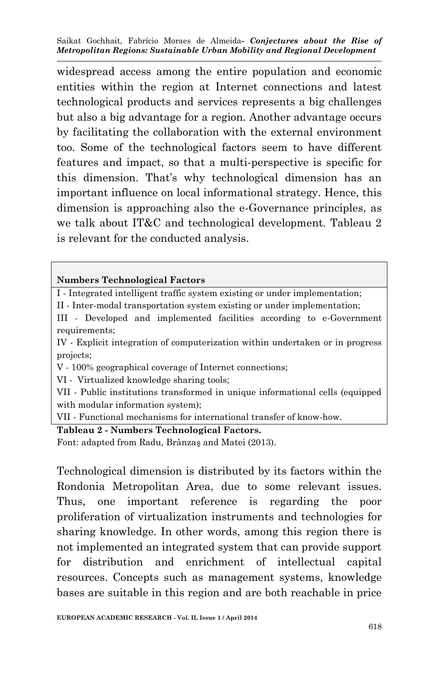widespread access among the entire population and economic entities within the region at Internet connections and latest technological products and services represents a big challenges but also a big advantage for a region. Another advantage occurs by facilitating the collaboration with the external environment too. Some of the technological factors seem to have different features and impact, so that a multi-perspective is specific for this dimension. That's why technological dimension has an important influence on local informational strategy. Hence, this dimension is approaching also the e-Governance principles, as we talk about IT&C and technological development. Tableau 2 is relevant for the conducted analysis.

#### **Numbers Technological Factors**

I - Integrated intelligent traffic system existing or under implementation;

II - Inter-modal transportation system existing or under implementation;

III - Developed and implemented facilities according to e-Government requirements;

IV - Explicit integration of computerization within undertaken or in progress projects;

V - 100% geographical coverage of Internet connections;

VI - Virtualized knowledge sharing tools;

VII - Public institutions transformed in unique informational cells (equipped with modular information system);

VII - Functional mechanisms for international transfer of know-how.

#### **Tableau 2 - Numbers Technological Factors.**

Font: adapted from Radu, Brânzaş and Matei (2013).

Technological dimension is distributed by its factors within the Rondonia Metropolitan Area, due to some relevant issues. Thus, one important reference is regarding the poor proliferation of virtualization instruments and technologies for sharing knowledge. In other words, among this region there is not implemented an integrated system that can provide support for distribution and enrichment of intellectual capital resources. Concepts such as management systems, knowledge bases are suitable in this region and are both reachable in price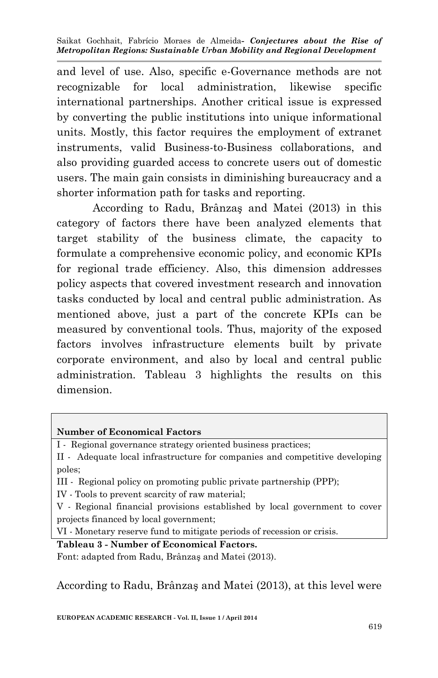and level of use. Also, specific e-Governance methods are not recognizable for local administration, likewise specific international partnerships. Another critical issue is expressed by converting the public institutions into unique informational units. Mostly, this factor requires the employment of extranet instruments, valid Business-to-Business collaborations, and also providing guarded access to concrete users out of domestic users. The main gain consists in diminishing bureaucracy and a shorter information path for tasks and reporting.

According to Radu, Brânzaş and Matei (2013) in this category of factors there have been analyzed elements that target stability of the business climate, the capacity to formulate a comprehensive economic policy, and economic KPIs for regional trade efficiency. Also, this dimension addresses policy aspects that covered investment research and innovation tasks conducted by local and central public administration. As mentioned above, just a part of the concrete KPIs can be measured by conventional tools. Thus, majority of the exposed factors involves infrastructure elements built by private corporate environment, and also by local and central public administration. Tableau 3 highlights the results on this dimension.

#### **Number of Economical Factors**

I - Regional governance strategy oriented business practices;

II - Adequate local infrastructure for companies and competitive developing poles;

III - Regional policy on promoting public private partnership (PPP);

IV - Tools to prevent scarcity of raw material;

V - Regional financial provisions established by local government to cover projects financed by local government;

VI - Monetary reserve fund to mitigate periods of recession or crisis.

### **Tableau 3 - Number of Economical Factors.**

Font: adapted from Radu, Brânzaş and Matei (2013).

According to Radu, Brânzaş and Matei (2013), at this level were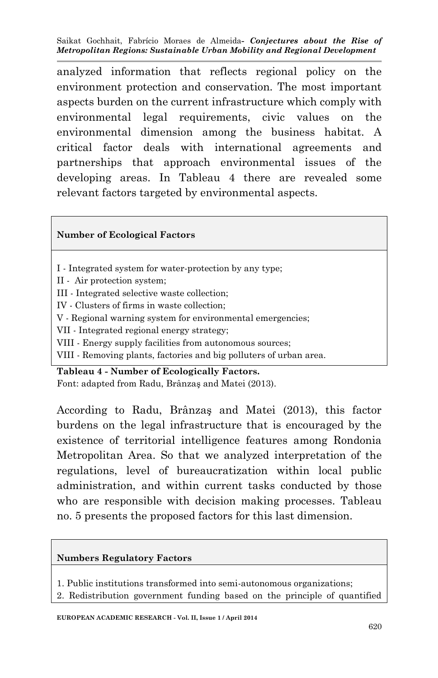analyzed information that reflects regional policy on the environment protection and conservation. The most important aspects burden on the current infrastructure which comply with environmental legal requirements, civic values on the environmental dimension among the business habitat. A critical factor deals with international agreements and partnerships that approach environmental issues of the developing areas. In Tableau 4 there are revealed some relevant factors targeted by environmental aspects.

#### **Number of Ecological Factors**

- I Integrated system for water-protection by any type;
- II Air protection system;
- III Integrated selective waste collection;
- IV Clusters of firms in waste collection;
- V Regional warning system for environmental emergencies;
- VII Integrated regional energy strategy;
- VIII Energy supply facilities from autonomous sources;
- VIII Removing plants, factories and big polluters of urban area.

**Tableau 4 - Number of Ecologically Factors.** Font: adapted from Radu, Brânzaş and Matei (2013).

According to Radu, Brânzaş and Matei (2013), this factor burdens on the legal infrastructure that is encouraged by the existence of territorial intelligence features among Rondonia Metropolitan Area. So that we analyzed interpretation of the regulations, level of bureaucratization within local public administration, and within current tasks conducted by those who are responsible with decision making processes. Tableau no. 5 presents the proposed factors for this last dimension.

#### **Numbers Regulatory Factors**

- 1. Public institutions transformed into semi-autonomous organizations;
- 2. Redistribution government funding based on the principle of quantified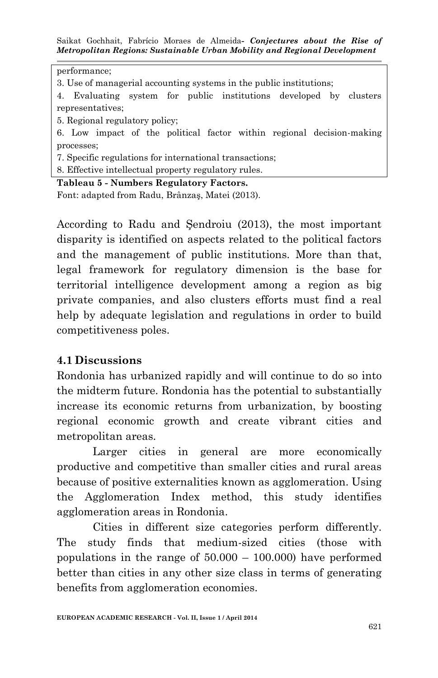performance;

3. Use of managerial accounting systems in the public institutions;

4. Evaluating system for public institutions developed by clusters representatives;

5. Regional regulatory policy;

6. Low impact of the political factor within regional decision-making processes;

7. Specific regulations for international transactions;

8. Effective intellectual property regulatory rules.

**Tableau 5 - Numbers Regulatory Factors.**

Font: adapted from Radu, Brânzaş, Matei (2013).

According to Radu and Şendroiu (2013), the most important disparity is identified on aspects related to the political factors and the management of public institutions. More than that, legal framework for regulatory dimension is the base for territorial intelligence development among a region as big private companies, and also clusters efforts must find a real help by adequate legislation and regulations in order to build competitiveness poles.

### **4.1 Discussions**

Rondonia has urbanized rapidly and will continue to do so into the midterm future. Rondonia has the potential to substantially increase its economic returns from urbanization, by boosting regional economic growth and create vibrant cities and metropolitan areas.

Larger cities in general are more economically productive and competitive than smaller cities and rural areas because of positive externalities known as agglomeration. Using the Agglomeration Index method, this study identifies agglomeration areas in Rondonia.

Cities in different size categories perform differently. The study finds that medium-sized cities (those with populations in the range of 50.000 – 100.000) have performed better than cities in any other size class in terms of generating benefits from agglomeration economies.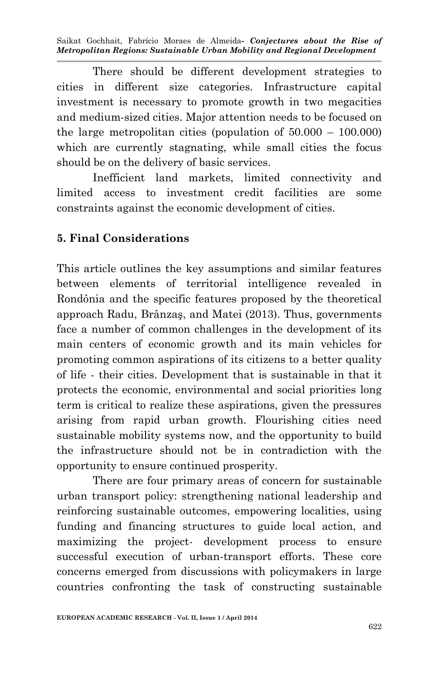There should be different development strategies to cities in different size categories. Infrastructure capital investment is necessary to promote growth in two megacities and medium-sized cities. Major attention needs to be focused on the large metropolitan cities (population of 50.000 – 100.000) which are currently stagnating, while small cities the focus should be on the delivery of basic services.

Inefficient land markets, limited connectivity and limited access to investment credit facilities are some constraints against the economic development of cities.

# **5. Final Considerations**

This article outlines the key assumptions and similar features between elements of territorial intelligence revealed in Rondônia and the specific features proposed by the theoretical approach Radu, Brânzaş, and Matei (2013). Thus, governments face a number of common challenges in the development of its main centers of economic growth and its main vehicles for promoting common aspirations of its citizens to a better quality of life - their cities. Development that is sustainable in that it protects the economic, environmental and social priorities long term is critical to realize these aspirations, given the pressures arising from rapid urban growth. Flourishing cities need sustainable mobility systems now, and the opportunity to build the infrastructure should not be in contradiction with the opportunity to ensure continued prosperity.

There are four primary areas of concern for sustainable urban transport policy: strengthening national leadership and reinforcing sustainable outcomes, empowering localities, using funding and financing structures to guide local action, and maximizing the project- development process to ensure successful execution of urban-transport efforts. These core concerns emerged from discussions with policymakers in large countries confronting the task of constructing sustainable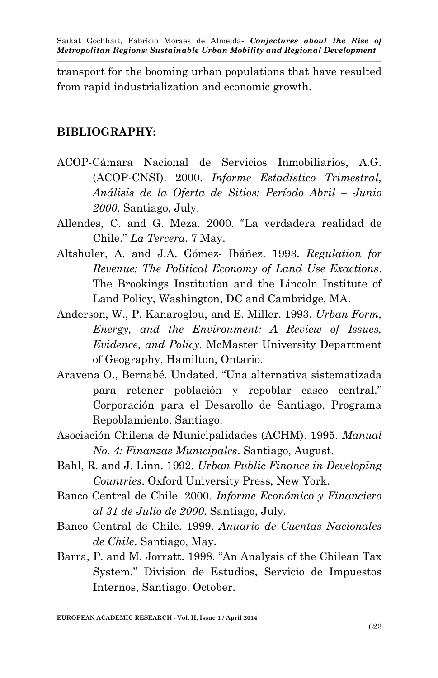transport for the booming urban populations that have resulted from rapid industrialization and economic growth.

### **BIBLIOGRAPHY:**

- ACOP-Cámara Nacional de Servicios Inmobiliarios, A.G. (ACOP-CNSI). 2000. *Informe Estadístico Trimestral, Análisis de la Oferta de Sitios: Período Abril – Junio 2000*. Santiago, July.
- Allendes, C. and G. Meza. 2000. "La verdadera realidad de Chile." *La Tercera*. 7 May.
- Altshuler, A. and J.A. Gómez- Ibáñez. 1993. *Regulation for Revenue: The Political Economy of Land Use Exactions*. The Brookings Institution and the Lincoln Institute of Land Policy, Washington, DC and Cambridge, MA.
- Anderson, W., P. Kanaroglou, and E. Miller. 1993. *Urban Form, Energy, and the Environment: A Review of Issues, Evidence, and Policy.* McMaster University Department of Geography, Hamilton, Ontario.
- Aravena O., Bernabé. Undated. "Una alternativa sistematizada para retener población y repoblar casco central." Corporación para el Desarollo de Santiago, Programa Repoblamiento, Santiago.
- Asociación Chilena de Municipalidades (ACHM). 1995. *Manual No. 4: Finanzas Municipales*. Santiago, August.
- Bahl, R. and J. Linn. 1992. *Urban Public Finance in Developing Countries*. Oxford University Press, New York.
- Banco Central de Chile. 2000. *Informe Económico y Financiero al 31 de Julio de 2000*. Santiago, July.
- Banco Central de Chile. 1999. *Anuario de Cuentas Nacionales de Chile*. Santiago, May.
- Barra, P. and M. Jorratt. 1998. "An Analysis of the Chilean Tax System." Division de Estudios, Servicio de Impuestos Internos, Santiago. October.